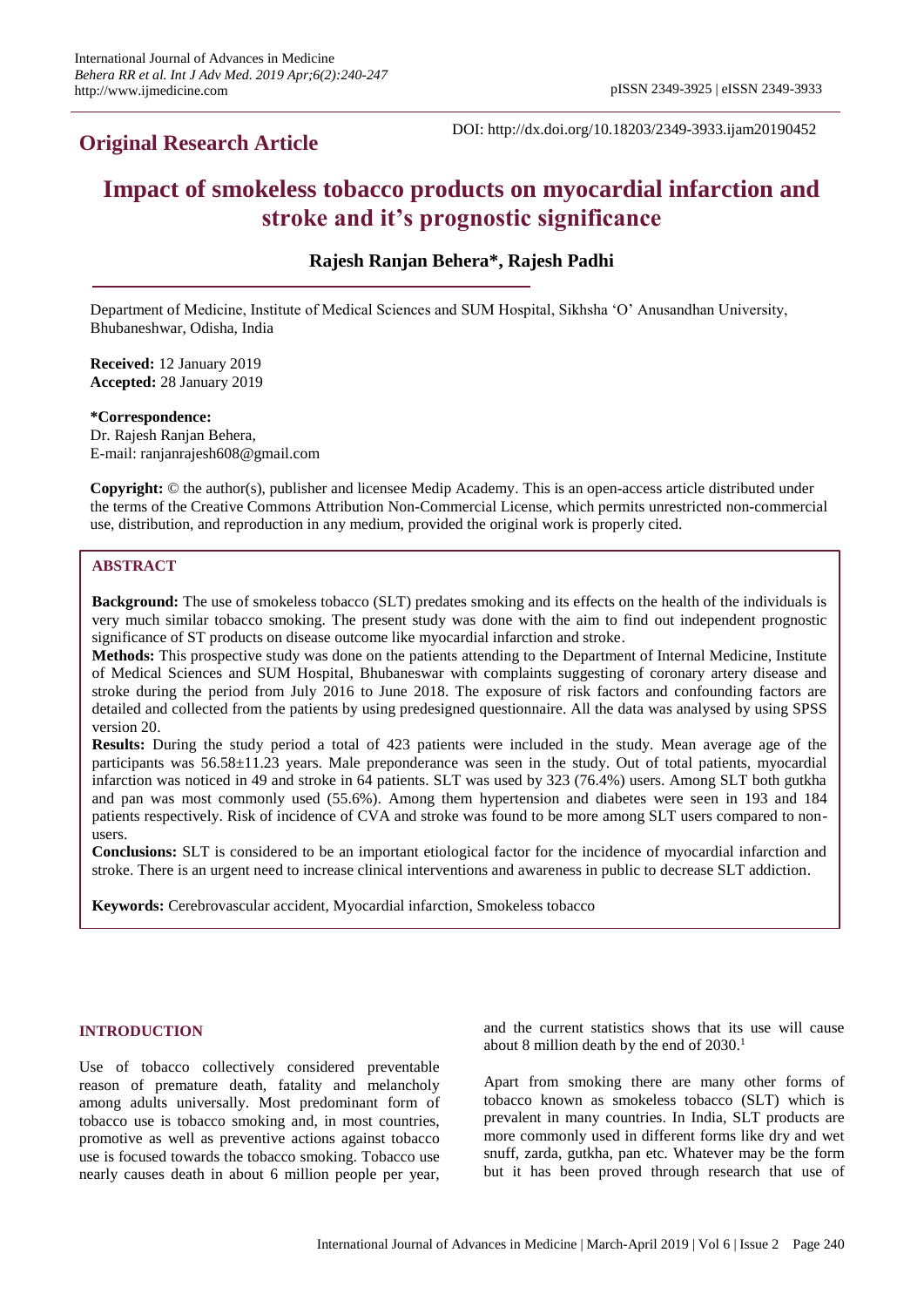# **Original Research Article**

DOI: http://dx.doi.org/10.18203/2349-3933.ijam20190452

# **Impact of smokeless tobacco products on myocardial infarction and stroke and it's prognostic significance**

# **Rajesh Ranjan Behera\*, Rajesh Padhi**

Department of Medicine, Institute of Medical Sciences and SUM Hospital, Sikhsha 'O' Anusandhan University, Bhubaneshwar, Odisha, India

**Received:** 12 January 2019 **Accepted:** 28 January 2019

**\*Correspondence:** Dr. Rajesh Ranjan Behera, E-mail: ranjanrajesh608@gmail.com

**Copyright:** © the author(s), publisher and licensee Medip Academy. This is an open-access article distributed under the terms of the Creative Commons Attribution Non-Commercial License, which permits unrestricted non-commercial use, distribution, and reproduction in any medium, provided the original work is properly cited.

#### **ABSTRACT**

**Background:** The use of smokeless tobacco (SLT) predates smoking and its effects on the health of the individuals is very much similar tobacco smoking. The present study was done with the aim to find out independent prognostic significance of ST products on disease outcome like myocardial infarction and stroke.

**Methods:** This prospective study was done on the patients attending to the Department of Internal Medicine, Institute of Medical Sciences and SUM Hospital, Bhubaneswar with complaints suggesting of coronary artery disease and stroke during the period from July 2016 to June 2018. The exposure of risk factors and confounding factors are detailed and collected from the patients by using predesigned questionnaire. All the data was analysed by using SPSS version 20.

**Results:** During the study period a total of 423 patients were included in the study. Mean average age of the participants was 56.58±11.23 years. Male preponderance was seen in the study. Out of total patients, myocardial infarction was noticed in 49 and stroke in 64 patients. SLT was used by 323 (76.4%) users. Among SLT both gutkha and pan was most commonly used (55.6%). Among them hypertension and diabetes were seen in 193 and 184 patients respectively. Risk of incidence of CVA and stroke was found to be more among SLT users compared to nonusers.

**Conclusions:** SLT is considered to be an important etiological factor for the incidence of myocardial infarction and stroke. There is an urgent need to increase clinical interventions and awareness in public to decrease SLT addiction.

**Keywords:** Cerebrovascular accident, Myocardial infarction, Smokeless tobacco

# **INTRODUCTION**

Use of tobacco collectively considered preventable reason of premature death, fatality and melancholy among adults universally. Most predominant form of tobacco use is tobacco smoking and, in most countries, promotive as well as preventive actions against tobacco use is focused towards the tobacco smoking. Tobacco use nearly causes death in about 6 million people per year, and the current statistics shows that its use will cause about 8 million death by the end of  $2030$ .<sup>1</sup>

Apart from smoking there are many other forms of tobacco known as smokeless tobacco (SLT) which is prevalent in many countries. In India, SLT products are more commonly used in different forms like dry and wet snuff, zarda, gutkha, pan etc. Whatever may be the form but it has been proved through research that use of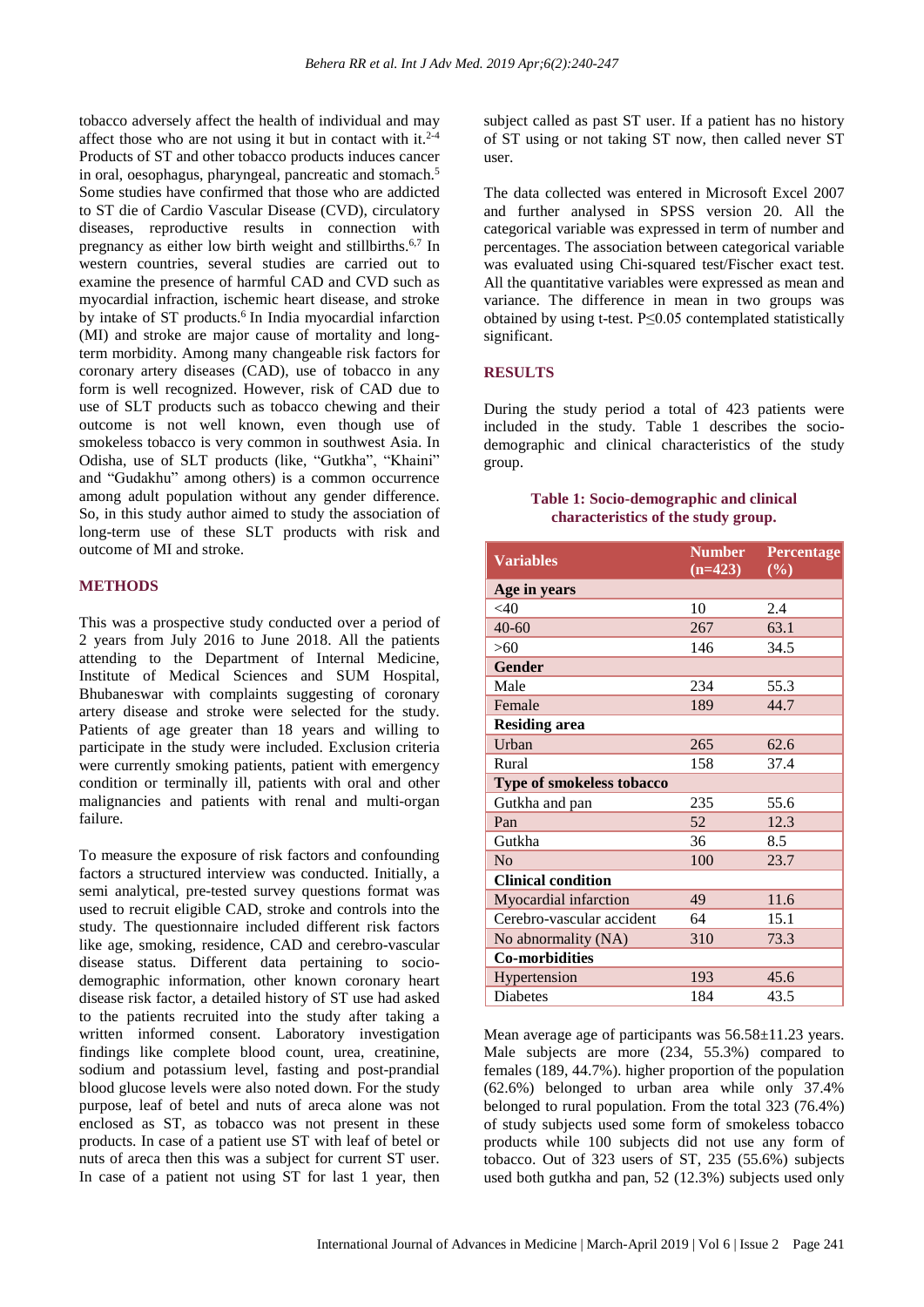tobacco adversely affect the health of individual and may affect those who are not using it but in contact with it. $2^{-4}$ Products of ST and other tobacco products induces cancer in oral, oesophagus, pharyngeal, pancreatic and stomach.<sup>5</sup> Some studies have confirmed that those who are addicted to ST die of Cardio Vascular Disease (CVD), circulatory diseases, reproductive results in connection with pregnancy as either low birth weight and stillbirths.6,7 In western countries, several studies are carried out to examine the presence of harmful CAD and CVD such as myocardial infraction, ischemic heart disease, and stroke by intake of ST products.<sup>6</sup> In India myocardial infarction (MI) and stroke are major cause of mortality and longterm morbidity. Among many changeable risk factors for coronary artery diseases (CAD), use of tobacco in any form is well recognized. However, risk of CAD due to use of SLT products such as tobacco chewing and their outcome is not well known, even though use of smokeless tobacco is very common in southwest Asia. In Odisha, use of SLT products (like, "Gutkha", "Khaini" and "Gudakhu" among others) is a common occurrence among adult population without any gender difference. So, in this study author aimed to study the association of long-term use of these SLT products with risk and outcome of MI and stroke.

#### **METHODS**

This was a prospective study conducted over a period of 2 years from July 2016 to June 2018. All the patients attending to the Department of Internal Medicine, Institute of Medical Sciences and SUM Hospital, Bhubaneswar with complaints suggesting of coronary artery disease and stroke were selected for the study. Patients of age greater than 18 years and willing to participate in the study were included. Exclusion criteria were currently smoking patients, patient with emergency condition or terminally ill, patients with oral and other malignancies and patients with renal and multi-organ failure.

To measure the exposure of risk factors and confounding factors a structured interview was conducted. Initially, a semi analytical, pre-tested survey questions format was used to recruit eligible CAD, stroke and controls into the study. The questionnaire included different risk factors like age, smoking, residence, CAD and cerebro-vascular disease status. Different data pertaining to sociodemographic information, other known coronary heart disease risk factor, a detailed history of ST use had asked to the patients recruited into the study after taking a written informed consent. Laboratory investigation findings like complete blood count, urea, creatinine, sodium and potassium level, fasting and post-prandial blood glucose levels were also noted down. For the study purpose, leaf of betel and nuts of areca alone was not enclosed as ST, as tobacco was not present in these products. In case of a patient use ST with leaf of betel or nuts of areca then this was a subject for current ST user. In case of a patient not using ST for last 1 year, then subject called as past ST user. If a patient has no history of ST using or not taking ST now, then called never ST user.

The data collected was entered in Microsoft Excel 2007 and further analysed in SPSS version 20. All the categorical variable was expressed in term of number and percentages. The association between categorical variable was evaluated using Chi-squared test/Fischer exact test. All the quantitative variables were expressed as mean and variance. The difference in mean in two groups was obtained by using t-test. P≤0.05 contemplated statistically significant.

#### **RESULTS**

During the study period a total of 423 patients were included in the study. Table 1 describes the sociodemographic and clinical characteristics of the study group.

## **Table 1: Socio-demographic and clinical characteristics of the study group.**

| <b>Variables</b>          | <b>Number</b> | Percentage |  |  |  |
|---------------------------|---------------|------------|--|--|--|
|                           | $(n=423)$     | $(\%)$     |  |  |  |
| Age in years              |               |            |  |  |  |
| $<$ 40                    | 10            | 2.4        |  |  |  |
| $40 - 60$                 | 267           | 63.1       |  |  |  |
| >60                       | 146           | 34.5       |  |  |  |
| <b>Gender</b>             |               |            |  |  |  |
| Male                      | 234           | 55.3       |  |  |  |
| Female                    | 189           | 44.7       |  |  |  |
| <b>Residing area</b>      |               |            |  |  |  |
| Urban                     | 265           | 62.6       |  |  |  |
| Rural                     | 158           | 37.4       |  |  |  |
| Type of smokeless tobacco |               |            |  |  |  |
| Gutkha and pan            | 235           | 55.6       |  |  |  |
| Pan                       | 52            | 12.3       |  |  |  |
| Gutkha                    | 36            | 8.5        |  |  |  |
| N <sub>0</sub>            | 100           | 23.7       |  |  |  |
| <b>Clinical condition</b> |               |            |  |  |  |
| Myocardial infarction     | 49            | 11.6       |  |  |  |
| Cerebro-vascular accident | 64            | 15.1       |  |  |  |
| No abnormality (NA)       | 310           | 73.3       |  |  |  |
| <b>Co-morbidities</b>     |               |            |  |  |  |
| Hypertension              | 193           | 45.6       |  |  |  |
| <b>Diabetes</b>           | 184           | 43.5       |  |  |  |

Mean average age of participants was  $56.58 \pm 11.23$  years. Male subjects are more (234, 55.3%) compared to females (189, 44.7%). higher proportion of the population (62.6%) belonged to urban area while only 37.4% belonged to rural population. From the total 323 (76.4%) of study subjects used some form of smokeless tobacco products while 100 subjects did not use any form of tobacco. Out of 323 users of ST, 235 (55.6%) subjects used both gutkha and pan, 52 (12.3%) subjects used only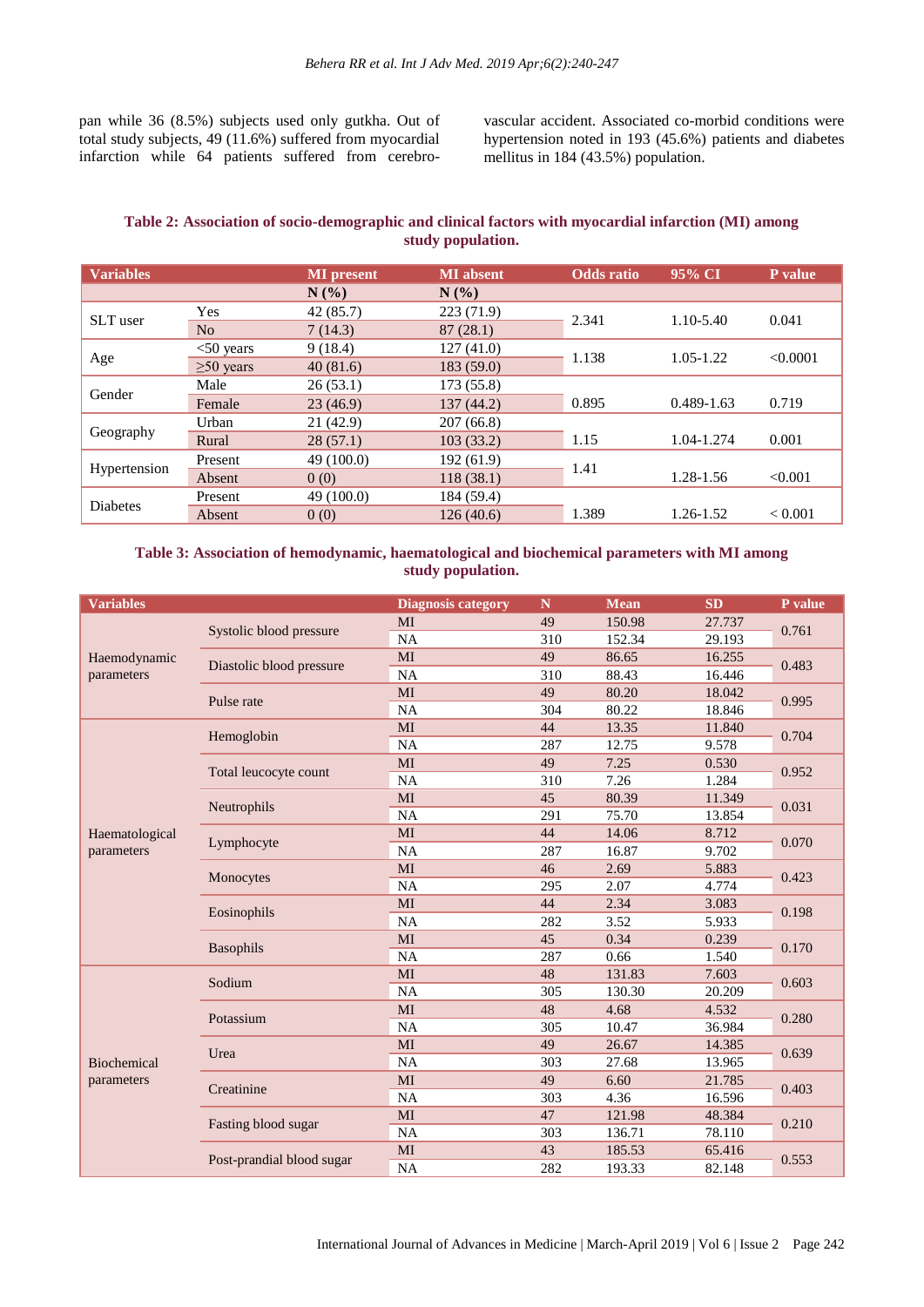pan while 36 (8.5%) subjects used only gutkha. Out of total study subjects, 49 (11.6%) suffered from myocardial infarction while 64 patients suffered from cerebrovascular accident. Associated co-morbid conditions were hypertension noted in 193 (45.6%) patients and diabetes mellitus in 184 (43.5%) population.

# **Table 2: Association of socio-demographic and clinical factors with myocardial infarction (MI) among study population.**

| <b>Variables</b> |                 | <b>MI</b> present | <b>MI</b> absent | <b>Odds</b> ratio | 95% CI         | P value        |
|------------------|-----------------|-------------------|------------------|-------------------|----------------|----------------|
|                  |                 | N(%               | $N(\%)$          |                   |                |                |
| SLT user         | Yes             | 42 (85.7)         | 223 (71.9)       | 2.341             | 1.10-5.40      | 0.041          |
|                  | No              | 7(14.3)           | 87(28.1)         |                   |                |                |
|                  | $<$ 50 years    | 9(18.4)           | 127(41.0)        | 1.138             | $1.05 - 1.22$  | < 0.0001       |
| Age              | $\geq 50$ years | 40(81.6)          | 183(59.0)        |                   |                |                |
|                  | Male            | 26(53.1)          | 173 (55.8)       |                   |                |                |
| Gender           | Female          | 23(46.9)          | 137(44.2)        | 0.895             | $0.489 - 1.63$ | 0.719          |
|                  | Urban           | 21 (42.9)         | 207(66.8)        |                   |                |                |
| Geography        | Rural           | 28(57.1)          | 103(33.2)        | 1.15              | 1.04-1.274     | 0.001          |
| Hypertension     | Present         | 49 (100.0)        | 192(61.9)        |                   |                |                |
|                  | Absent          | 0(0)              | 118(38.1)        | 1.41              | 1.28-1.56      | < 0.001        |
| <b>Diabetes</b>  | Present         | 49 (100.0)        | 184 (59.4)       |                   |                |                |
|                  | Absent          | 0(0)              | 126(40.6)        | 1.389             | 1.26-1.52      | ${}_{< 0.001}$ |

# **Table 3: Association of hemodynamic, haematological and biochemical parameters with MI among study population.**

| <b>Variables</b>                 |                           | <b>Diagnosis category</b> | $\mathbb N$ | <b>Mean</b> | <b>SD</b> | P value |
|----------------------------------|---------------------------|---------------------------|-------------|-------------|-----------|---------|
|                                  | Systolic blood pressure   | MI                        | 49          | 150.98      | 27.737    | 0.761   |
|                                  |                           | <b>NA</b>                 | 310         | 152.34      | 29.193    |         |
| Haemodynamic                     |                           | MI                        | 49          | 86.65       | 16.255    |         |
| parameters                       | Diastolic blood pressure  | NA                        | 310         | 88.43       | 16.446    | 0.483   |
|                                  | Pulse rate                | MI                        | 49          | 80.20       | 18.042    | 0.995   |
|                                  |                           | NA                        | 304         | 80.22       | 18.846    |         |
|                                  |                           | MI                        | 44          | 13.35       | 11.840    | 0.704   |
|                                  | Hemoglobin                | NA                        | 287         | 12.75       | 9.578     |         |
|                                  |                           | MI                        | 49          | 7.25        | 0.530     |         |
|                                  | Total leucocyte count     | NA                        | 310         | 7.26        | 1.284     | 0.952   |
|                                  |                           | MI                        | 45          | 80.39       | 11.349    |         |
|                                  | Neutrophils               | NA                        | 291         | 75.70       | 13.854    | 0.031   |
| Haematological                   | Lymphocyte                | MI                        | 44          | 14.06       | 8.712     | 0.070   |
| parameters                       |                           | NA                        | 287         | 16.87       | 9.702     |         |
|                                  | Monocytes                 | MI                        | 46          | 2.69        | 5.883     | 0.423   |
|                                  |                           | NA                        | 295         | 2.07        | 4.774     |         |
|                                  | Eosinophils               | MI                        | 44          | 2.34        | 3.083     | 0.198   |
|                                  |                           | NA                        | 282         | 3.52        | 5.933     |         |
|                                  | <b>Basophils</b>          | MI                        | 45          | 0.34        | 0.239     | 0.170   |
|                                  |                           | NA                        | 287         | 0.66        | 1.540     |         |
|                                  | Sodium                    | MI                        | 48          | 131.83      | 7.603     |         |
|                                  |                           | NA                        | 305         | 130.30      | 20.209    | 0.603   |
|                                  |                           | MI                        | 48          | 4.68        | 4.532     |         |
|                                  | Potassium                 | NA                        | 305         | 10.47       | 36.984    | 0.280   |
|                                  |                           | MI                        | 49          | 26.67       | 14.385    |         |
| <b>Biochemical</b><br>parameters | Urea                      | NA                        | 303         | 27.68       | 13.965    | 0.639   |
|                                  | Creatinine                | MI                        | 49          | 6.60        | 21.785    | 0.403   |
|                                  |                           | <b>NA</b>                 | 303         | 4.36        | 16.596    |         |
|                                  | Fasting blood sugar       | MI                        | 47          | 121.98      | 48.384    | 0.210   |
|                                  |                           | NA                        | 303         | 136.71      | 78.110    |         |
|                                  | Post-prandial blood sugar | MI                        | 43          | 185.53      | 65.416    | 0.553   |
|                                  |                           | NA                        | 282         | 193.33      | 82.148    |         |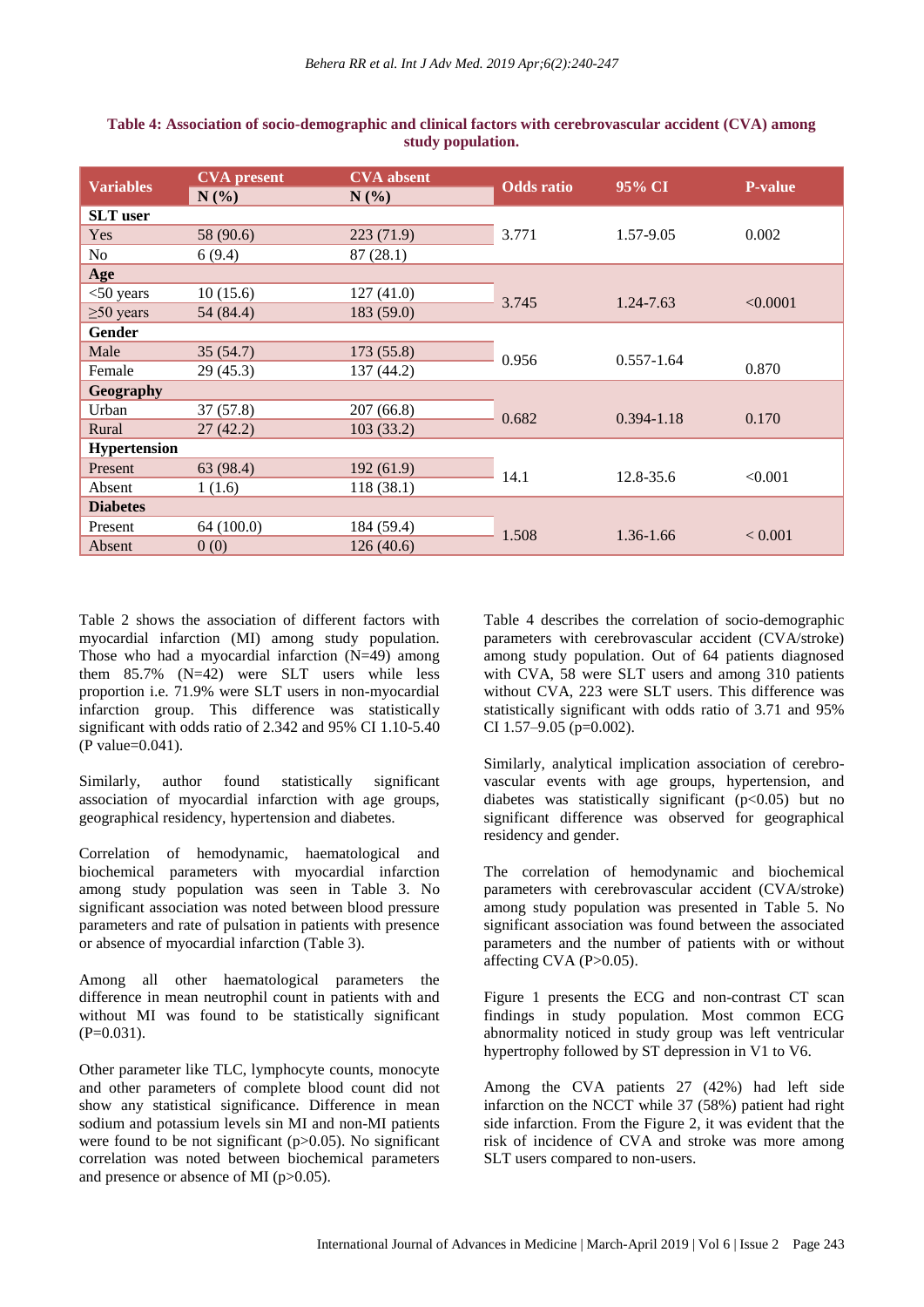| <b>Variables</b>    | <b>CVA</b> present<br>$N(\%)$ | <b>CVA</b> absent<br>$N(\%)$ | <b>Odds</b> ratio | 95% CI         | <b>P-value</b> |
|---------------------|-------------------------------|------------------------------|-------------------|----------------|----------------|
| <b>SLT</b> user     |                               |                              |                   |                |                |
| Yes                 | 58 (90.6)                     | 223(71.9)                    | 3.771             | 1.57-9.05      | 0.002          |
| No                  | 6(9.4)                        | 87(28.1)                     |                   |                |                |
| Age                 |                               |                              |                   |                |                |
| $<$ 50 years        | 10(15.6)                      | 127(41.0)                    | 3.745             | 1.24-7.63      | < 0.0001       |
| $\geq 50$ years     | 54 (84.4)                     | 183 (59.0)                   |                   |                |                |
| Gender              |                               |                              |                   |                |                |
| Male                | 35(54.7)                      | 173(55.8)                    | 0.956             | $0.557 - 1.64$ |                |
| Female              | 29(45.3)                      | 137 (44.2)                   |                   |                | 0.870          |
| Geography           |                               |                              |                   |                |                |
| Urban               | 37(57.8)                      | 207(66.8)                    | 0.682             | $0.394 - 1.18$ |                |
| Rural               | 27(42.2)                      | 103(33.2)                    |                   |                | 0.170          |
| <b>Hypertension</b> |                               |                              |                   |                |                |
| Present             | 63 (98.4)                     | 192(61.9)                    | 14.1              | 12.8-35.6      | < 0.001        |
| Absent              | 1(1.6)                        | 118(38.1)                    |                   |                |                |
| <b>Diabetes</b>     |                               |                              |                   |                |                |
| Present             | 64 (100.0)                    | 184 (59.4)                   |                   | 1.36-1.66      | ${}< 0.001$    |
| Absent              | 0(0)                          | 126(40.6)                    | 1.508             |                |                |

#### **Table 4: Association of socio-demographic and clinical factors with cerebrovascular accident (CVA) among study population.**

Table 2 shows the association of different factors with myocardial infarction (MI) among study population. Those who had a myocardial infarction  $(N=49)$  among them  $85.7\%$  (N=42) were SLT users while less proportion i.e. 71.9% were SLT users in non-myocardial infarction group. This difference was statistically significant with odds ratio of 2.342 and 95% CI 1.10-5.40 (P value=0.041).

Similarly, author found statistically significant association of myocardial infarction with age groups, geographical residency, hypertension and diabetes.

Correlation of hemodynamic, haematological and biochemical parameters with myocardial infarction among study population was seen in Table 3. No significant association was noted between blood pressure parameters and rate of pulsation in patients with presence or absence of myocardial infarction (Table 3).

Among all other haematological parameters the difference in mean neutrophil count in patients with and without MI was found to be statistically significant  $(P=0.031)$ .

Other parameter like TLC, lymphocyte counts, monocyte and other parameters of complete blood count did not show any statistical significance. Difference in mean sodium and potassium levels sin MI and non-MI patients were found to be not significant  $(p>0.05)$ . No significant correlation was noted between biochemical parameters and presence or absence of MI (p>0.05).

Table 4 describes the correlation of socio-demographic parameters with cerebrovascular accident (CVA/stroke) among study population. Out of 64 patients diagnosed with CVA, 58 were SLT users and among 310 patients without CVA, 223 were SLT users. This difference was statistically significant with odds ratio of 3.71 and 95% CI 1.57–9.05 (p=0.002).

Similarly, analytical implication association of cerebrovascular events with age groups, hypertension, and diabetes was statistically significant  $(p<0.05)$  but no significant difference was observed for geographical residency and gender.

The correlation of hemodynamic and biochemical parameters with cerebrovascular accident (CVA/stroke) among study population was presented in Table 5. No significant association was found between the associated parameters and the number of patients with or without affecting CVA  $(P>0.05)$ .

Figure 1 presents the ECG and non-contrast CT scan findings in study population. Most common ECG abnormality noticed in study group was left ventricular hypertrophy followed by ST depression in V1 to V6.

Among the CVA patients 27 (42%) had left side infarction on the NCCT while 37 (58%) patient had right side infarction. From the Figure 2, it was evident that the risk of incidence of CVA and stroke was more among SLT users compared to non-users.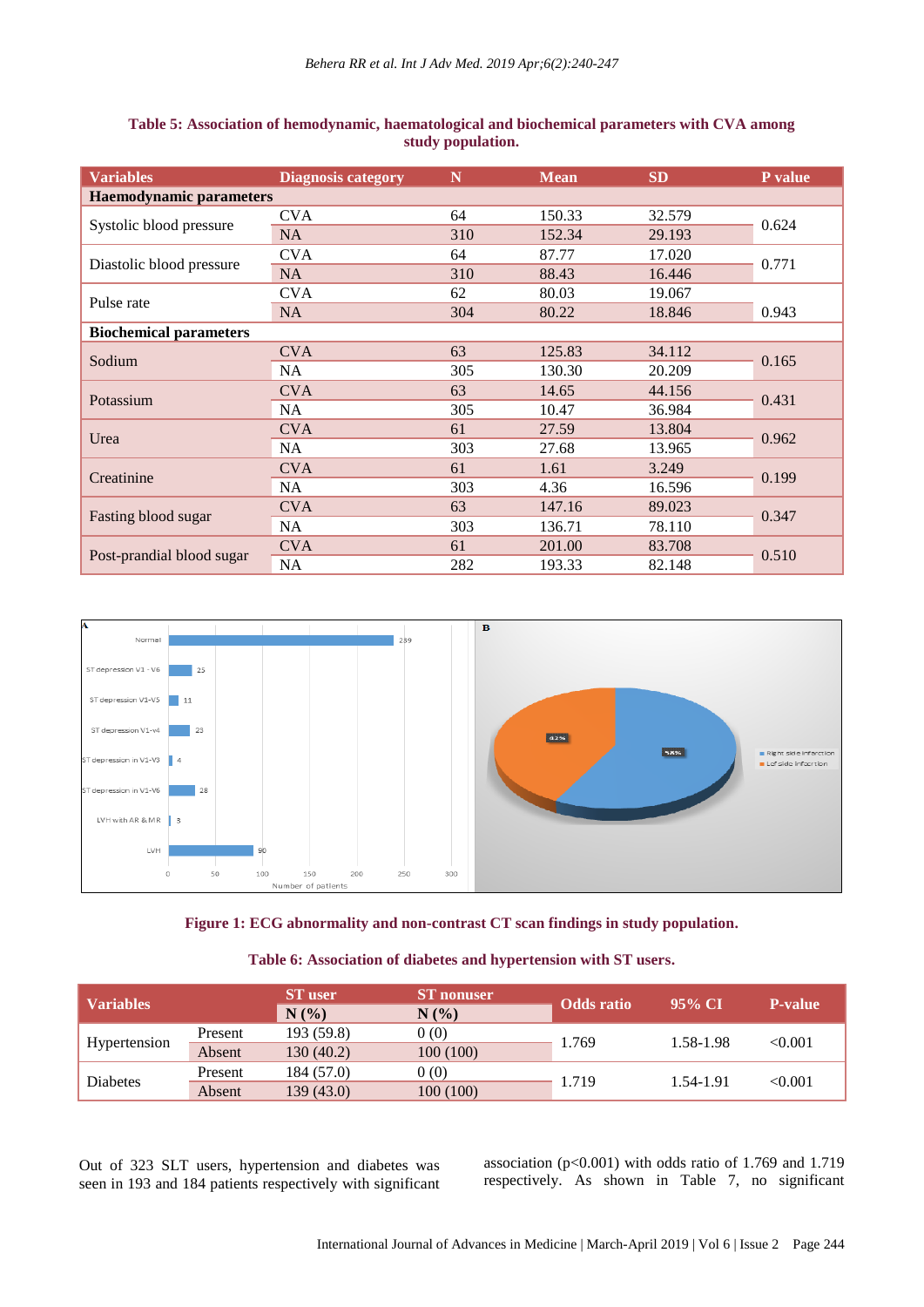| <b>Variables</b>               | <b>Diagnosis category</b> | N   | <b>Mean</b> | <b>SD</b> | P value |  |  |  |
|--------------------------------|---------------------------|-----|-------------|-----------|---------|--|--|--|
| <b>Haemodynamic parameters</b> |                           |     |             |           |         |  |  |  |
|                                | <b>CVA</b>                | 64  | 150.33      | 32.579    | 0.624   |  |  |  |
| Systolic blood pressure        | <b>NA</b>                 | 310 | 152.34      | 29.193    |         |  |  |  |
| Diastolic blood pressure       | <b>CVA</b>                | 64  | 87.77       | 17.020    | 0.771   |  |  |  |
|                                | <b>NA</b>                 | 310 | 88.43       | 16.446    |         |  |  |  |
|                                | <b>CVA</b>                | 62  | 80.03       | 19.067    |         |  |  |  |
| Pulse rate                     | NA                        | 304 | 80.22       | 18.846    | 0.943   |  |  |  |
| <b>Biochemical parameters</b>  |                           |     |             |           |         |  |  |  |
| Sodium                         | <b>CVA</b>                | 63  | 125.83      | 34.112    | 0.165   |  |  |  |
|                                | <b>NA</b>                 | 305 | 130.30      | 20.209    |         |  |  |  |
|                                | <b>CVA</b>                | 63  | 14.65       | 44.156    | 0.431   |  |  |  |
| Potassium                      | NA                        | 305 | 10.47       | 36.984    |         |  |  |  |
| Urea                           | <b>CVA</b>                | 61  | 27.59       | 13.804    | 0.962   |  |  |  |
|                                | <b>NA</b>                 | 303 | 27.68       | 13.965    |         |  |  |  |
| Creatinine                     | <b>CVA</b>                | 61  | 1.61        | 3.249     | 0.199   |  |  |  |
|                                | <b>NA</b>                 | 303 | 4.36        | 16.596    |         |  |  |  |
| Fasting blood sugar            | <b>CVA</b>                | 63  | 147.16      | 89.023    |         |  |  |  |
|                                | <b>NA</b>                 | 303 | 136.71      | 78.110    | 0.347   |  |  |  |
|                                | <b>CVA</b>                | 61  | 201.00      | 83.708    | 0.510   |  |  |  |
| Post-prandial blood sugar      | <b>NA</b>                 | 282 | 193.33      | 82.148    |         |  |  |  |

#### **Table 5: Association of hemodynamic, haematological and biochemical parameters with CVA among study population.**



**Figure 1: ECG abnormality and non-contrast CT scan findings in study population.**

# **Table 6: Association of diabetes and hypertension with ST users.**

| <b>Variables</b> |         | <b>ST</b> user | <b>ST</b> nonuser | <b>Odds</b> ratio | 95% CI    | <b>P-value</b> |
|------------------|---------|----------------|-------------------|-------------------|-----------|----------------|
|                  |         | N(%            | N(%               |                   |           |                |
| Hypertension     | Present | 193 (59.8)     | 0(0)              | 1.769             | 1.58-1.98 | <0.001         |
|                  | Absent  | 130 (40.2)     | 100(100)          |                   |           |                |
| <b>Diabetes</b>  | Present | 184 (57.0)     | 0(0)              | 1.719             | 1.54-1.91 | <0.001         |
|                  | Absent  | 139 (43.0)     | 100(100)          |                   |           |                |

Out of 323 SLT users, hypertension and diabetes was seen in 193 and 184 patients respectively with significant association ( $p<0.001$ ) with odds ratio of 1.769 and 1.719 respectively. As shown in Table 7, no significant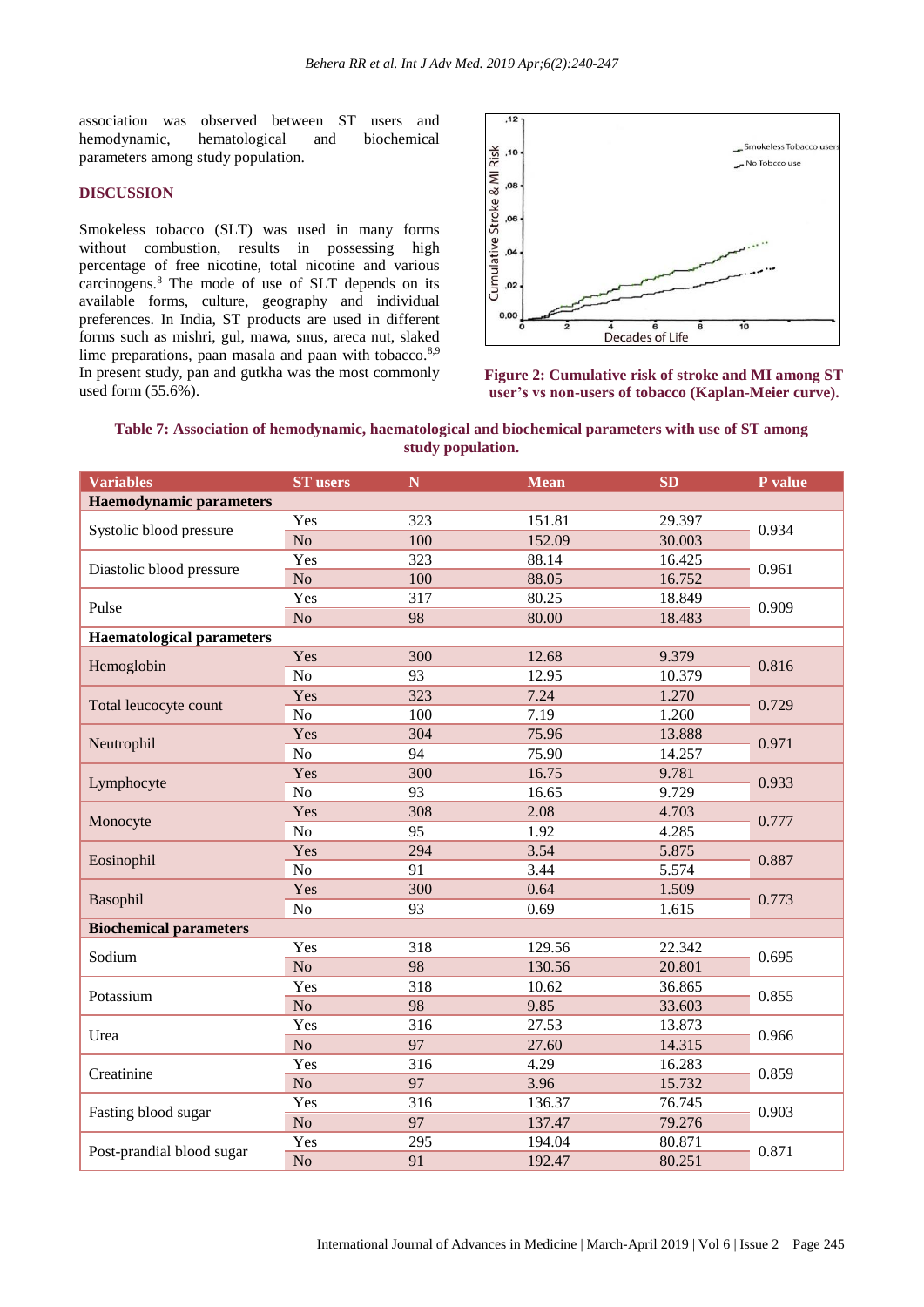association was observed between ST users and hemodynamic, hematological and biochemical parameters among study population.

#### **DISCUSSION**

Smokeless tobacco (SLT) was used in many forms without combustion, results in possessing high percentage of free nicotine, total nicotine and various carcinogens.<sup>8</sup> The mode of use of SLT depends on its available forms, culture, geography and individual preferences. In India, ST products are used in different forms such as mishri, gul, mawa, snus, areca nut, slaked lime preparations, paan masala and paan with tobacco.<sup>8,9</sup> In present study, pan and gutkha was the most commonly used form (55.6%).



**Figure 2: Cumulative risk of stroke and MI among ST user's vs non-users of tobacco (Kaplan-Meier curve).**

**Table 7: Association of hemodynamic, haematological and biochemical parameters with use of ST among study population.**

| <b>Variables</b>                 | <b>ST</b> users | $\mathbf N$ | <b>Mean</b> | <b>SD</b> | P value |  |  |  |
|----------------------------------|-----------------|-------------|-------------|-----------|---------|--|--|--|
| <b>Haemodynamic parameters</b>   |                 |             |             |           |         |  |  |  |
| Systolic blood pressure          | Yes             | 323         | 151.81      | 29.397    |         |  |  |  |
|                                  | N <sub>o</sub>  | 100         | 152.09      | 30.003    | 0.934   |  |  |  |
|                                  | Yes             | 323         | 88.14       | 16.425    |         |  |  |  |
| Diastolic blood pressure         | N <sub>o</sub>  | 100         | 88.05       | 16.752    | 0.961   |  |  |  |
| Pulse                            | Yes             | 317         | 80.25       | 18.849    | 0.909   |  |  |  |
|                                  | N <sub>o</sub>  | 98          | 80.00       | 18.483    |         |  |  |  |
| <b>Haematological parameters</b> |                 |             |             |           |         |  |  |  |
| Hemoglobin                       | Yes             | 300         | 12.68       | 9.379     | 0.816   |  |  |  |
|                                  | N <sub>o</sub>  | 93          | 12.95       | 10.379    |         |  |  |  |
| Total leucocyte count            | Yes             | 323         | 7.24        | 1.270     | 0.729   |  |  |  |
|                                  | N <sub>o</sub>  | 100         | 7.19        | 1.260     |         |  |  |  |
| Neutrophil                       | Yes             | 304         | 75.96       | 13.888    | 0.971   |  |  |  |
|                                  | N <sub>o</sub>  | 94          | 75.90       | 14.257    |         |  |  |  |
| Lymphocyte                       | Yes             | 300         | 16.75       | 9.781     | 0.933   |  |  |  |
|                                  | N <sub>o</sub>  | 93          | 16.65       | 9.729     |         |  |  |  |
|                                  | Yes             | 308         | 2.08        | 4.703     | 0.777   |  |  |  |
| Monocyte                         | N <sub>o</sub>  | 95          | 1.92        | 4.285     |         |  |  |  |
| Eosinophil                       | Yes             | 294         | 3.54        | 5.875     | 0.887   |  |  |  |
|                                  | N <sub>o</sub>  | 91          | 3.44        | 5.574     |         |  |  |  |
| Basophil                         | Yes             | 300         | 0.64        | 1.509     | 0.773   |  |  |  |
|                                  | No              | 93          | 0.69        | 1.615     |         |  |  |  |
| <b>Biochemical parameters</b>    |                 |             |             |           |         |  |  |  |
| Sodium                           | Yes             | 318         | 129.56      | 22.342    | 0.695   |  |  |  |
|                                  | N <sub>o</sub>  | 98          | 130.56      | 20.801    |         |  |  |  |
| Potassium                        | Yes             | 318         | 10.62       | 36.865    | 0.855   |  |  |  |
|                                  | No              | 98          | 9.85        | 33.603    |         |  |  |  |
| Urea                             | Yes             | 316         | 27.53       | 13.873    | 0.966   |  |  |  |
|                                  | N <sub>o</sub>  | 97          | 27.60       | 14.315    |         |  |  |  |
| Creatinine                       | Yes             | 316         | 4.29        | 16.283    | 0.859   |  |  |  |
|                                  | N <sub>o</sub>  | 97          | 3.96        | 15.732    |         |  |  |  |
|                                  | Yes             | 316         | 136.37      | 76.745    |         |  |  |  |
| Fasting blood sugar              | N <sub>o</sub>  | 97          | 137.47      | 79.276    | 0.903   |  |  |  |
|                                  | Yes             | 295         | 194.04      | 80.871    | 0.871   |  |  |  |
| Post-prandial blood sugar        | N <sub>o</sub>  | 91          | 192.47      | 80.251    |         |  |  |  |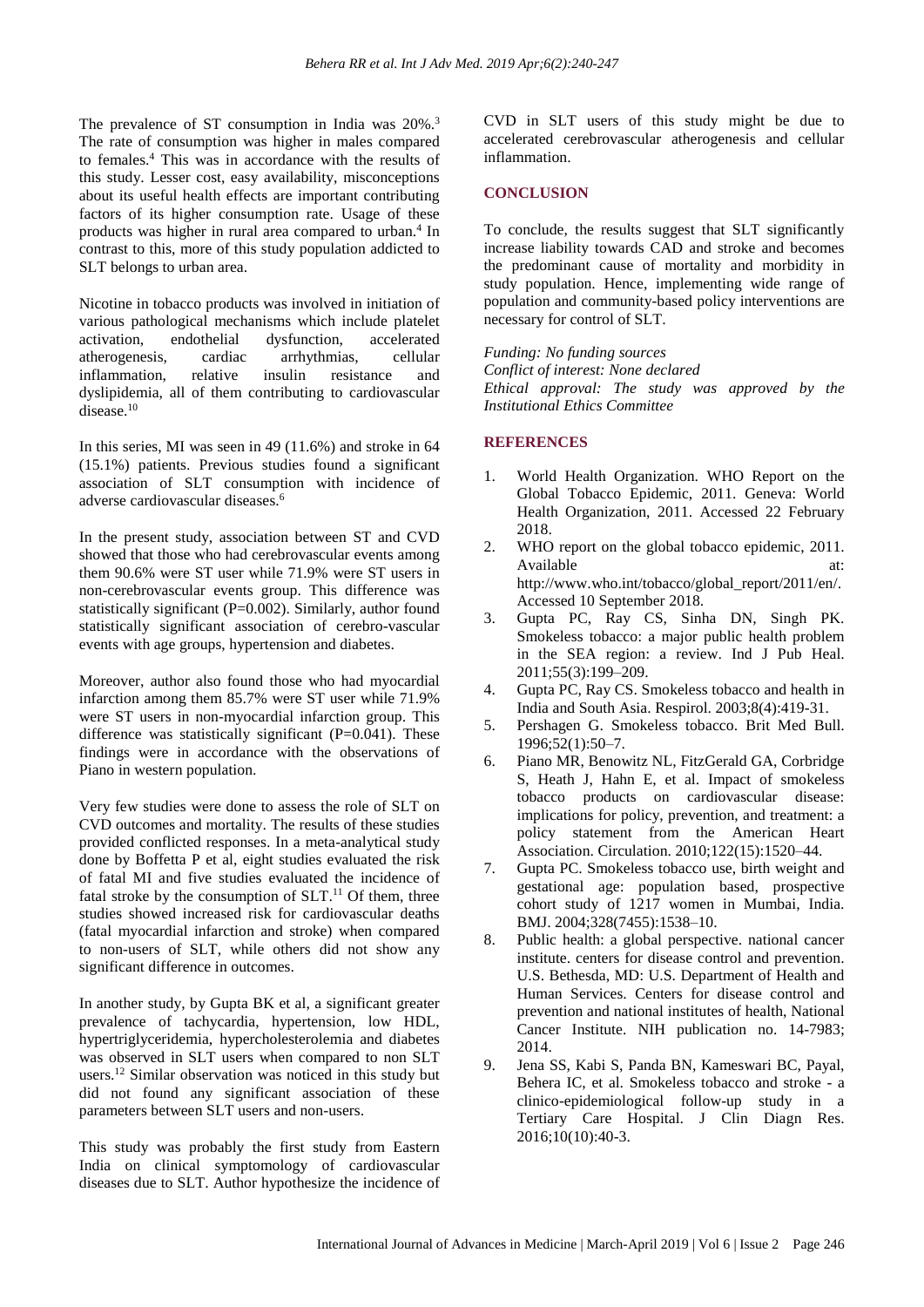The prevalence of ST consumption in India was 20%.<sup>3</sup> The rate of consumption was higher in males compared to females.<sup>4</sup> This was in accordance with the results of this study. Lesser cost, easy availability, misconceptions about its useful health effects are important contributing factors of its higher consumption rate. Usage of these products was higher in rural area compared to urban.<sup>4</sup> In contrast to this, more of this study population addicted to SLT belongs to urban area.

Nicotine in tobacco products was involved in initiation of various pathological mechanisms which include platelet activation, endothelial dysfunction, accelerated atherogenesis, cardiac arrhythmias, cellular inflammation, relative insulin resistance and dyslipidemia, all of them contributing to cardiovascular disease.<sup>10</sup>

In this series, MI was seen in 49 (11.6%) and stroke in 64 (15.1%) patients. Previous studies found a significant association of SLT consumption with incidence of adverse cardiovascular diseases.<sup>6</sup>

In the present study, association between ST and CVD showed that those who had cerebrovascular events among them 90.6% were ST user while 71.9% were ST users in non-cerebrovascular events group. This difference was statistically significant (P=0.002). Similarly, author found statistically significant association of cerebro-vascular events with age groups, hypertension and diabetes.

Moreover, author also found those who had myocardial infarction among them 85.7% were ST user while 71.9% were ST users in non-myocardial infarction group. This difference was statistically significant  $(P=0.041)$ . These findings were in accordance with the observations of Piano in western population.

Very few studies were done to assess the role of SLT on CVD outcomes and mortality. The results of these studies provided conflicted responses. In a meta-analytical study done by Boffetta P et al, eight studies evaluated the risk of fatal MI and five studies evaluated the incidence of fatal stroke by the consumption of  $SLT$ .<sup>11</sup> Of them, three studies showed increased risk for cardiovascular deaths (fatal myocardial infarction and stroke) when compared to non-users of SLT, while others did not show any significant difference in outcomes.

In another study, by Gupta BK et al, a significant greater prevalence of tachycardia, hypertension, low HDL, hypertriglyceridemia, hypercholesterolemia and diabetes was observed in SLT users when compared to non SLT users.<sup>12</sup> Similar observation was noticed in this study but did not found any significant association of these parameters between SLT users and non-users.

This study was probably the first study from Eastern India on clinical symptomology of cardiovascular diseases due to SLT. Author hypothesize the incidence of CVD in SLT users of this study might be due to accelerated cerebrovascular atherogenesis and cellular inflammation.

#### **CONCLUSION**

To conclude, the results suggest that SLT significantly increase liability towards CAD and stroke and becomes the predominant cause of mortality and morbidity in study population. Hence, implementing wide range of population and community-based policy interventions are necessary for control of SLT.

*Funding: No funding sources Conflict of interest: None declared Ethical approval: The study was approved by the Institutional Ethics Committee*

# **REFERENCES**

- 1. World Health Organization. WHO Report on the Global Tobacco Epidemic, 2011. Geneva: World Health Organization, 2011. Accessed 22 February 2018.
- 2. WHO report on the global tobacco epidemic, 2011. Available at: at: http://www.who.int/tobacco/global\_report/2011/en/. Accessed 10 September 2018.
- 3. Gupta PC, Ray CS, Sinha DN, Singh PK. Smokeless tobacco: a major public health problem in the SEA region: a review. Ind J Pub Heal. 2011;55(3):199–209.
- 4. Gupta PC, Ray CS. Smokeless tobacco and health in India and South Asia. Respirol. 2003;8(4):419-31.
- 5. Pershagen G. Smokeless tobacco. Brit Med Bull. 1996;52(1):50–7.
- 6. Piano MR, Benowitz NL, FitzGerald GA, Corbridge S, Heath J, Hahn E, et al. Impact of smokeless tobacco products on cardiovascular disease: implications for policy, prevention, and treatment: a policy statement from the American Heart Association. Circulation. 2010;122(15):1520–44.
- 7. Gupta PC. Smokeless tobacco use, birth weight and gestational age: population based, prospective cohort study of 1217 women in Mumbai, India. BMJ. 2004;328(7455):1538–10.
- 8. Public health: a global perspective. national cancer institute. centers for disease control and prevention. U.S. Bethesda, MD: U.S. Department of Health and Human Services. Centers for disease control and prevention and national institutes of health, National Cancer Institute. NIH publication no. 14-7983; 2014.
- 9. Jena SS, Kabi S, Panda BN, Kameswari BC, Payal, Behera IC, et al. Smokeless tobacco and stroke - a clinico-epidemiological follow-up study in a Tertiary Care Hospital. J Clin Diagn Res. 2016;10(10):40-3.